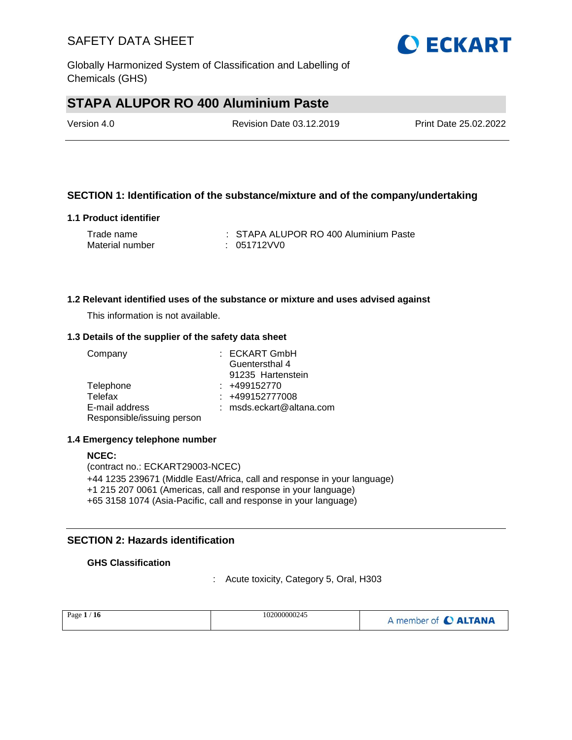

# **STAPA ALUPOR RO 400 Aluminium Paste**

| Version 4.0 | Revision Date 03.12.2019 | Print Date 25.02.2022 |
|-------------|--------------------------|-----------------------|
|             |                          |                       |

### **SECTION 1: Identification of the substance/mixture and of the company/undertaking**

#### **1.1 Product identifier**

| Trade name      | : STAPA ALUPOR RO 400 Aluminium Paste |
|-----------------|---------------------------------------|
| Material number | : 051712VV0                           |

#### **1.2 Relevant identified uses of the substance or mixture and uses advised against**

This information is not available.

#### **1.3 Details of the supplier of the safety data sheet**

| Company                    | : ECKART GmbH            |
|----------------------------|--------------------------|
|                            | Guentersthal 4           |
|                            | 91235 Hartenstein        |
| Telephone                  | $: +499152770$           |
| Telefax                    | : +499152777008          |
| E-mail address             | : msds.eckart@altana.com |
| Responsible/issuing person |                          |

#### **1.4 Emergency telephone number**

**NCEC:** (contract no.: ECKART29003-NCEC) +44 1235 239671 (Middle East/Africa, call and response in your language) +1 215 207 0061 (Americas, call and response in your language) +65 3158 1074 (Asia-Pacific, call and response in your language)

#### **SECTION 2: Hazards identification**

#### **GHS Classification**

: Acute toxicity, Category 5, Oral, H303

| 102000000245<br>Page $1/$<br>16 | A member of C ALTANA |
|---------------------------------|----------------------|
|---------------------------------|----------------------|

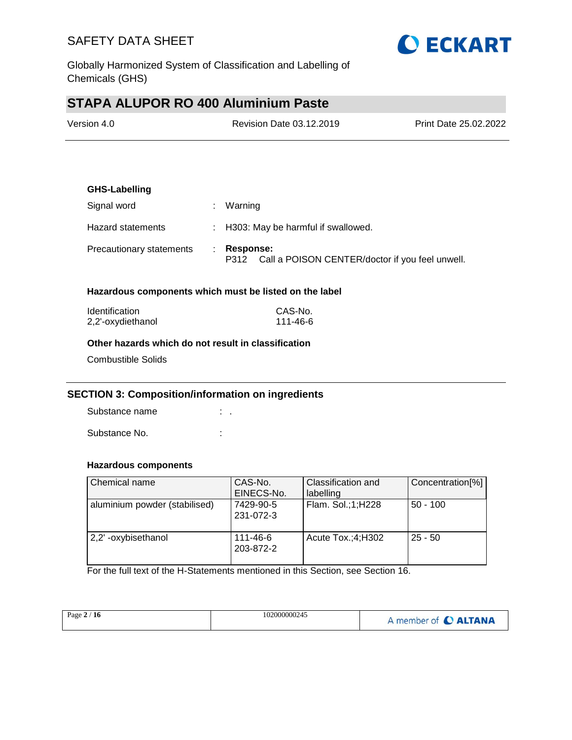

Globally Harmonized System of Classification and Labelling of Chemicals (GHS)

# **STAPA ALUPOR RO 400 Aluminium Paste**

| Version 4.0 | Revision Date 03.12.2019 | <b>Print Date 25.02.2022</b> |
|-------------|--------------------------|------------------------------|
|             |                          |                              |

# **GHS-Labelling** Signal word : Warning Hazard statements : H303: May be harmful if swallowed. Precautionary statements : **Response:**  P312 Call a POISON CENTER/doctor if you feel unwell.

#### **Hazardous components which must be listed on the label**

| <b>Identification</b> | CAS-No.  |
|-----------------------|----------|
| 2,2'-oxydiethanol     | 111-46-6 |

#### **Other hazards which do not result in classification**

Combustible Solids

#### **SECTION 3: Composition/information on ingredients**

Substance name : . Substance No. **:**  $\qquad \qquad$  :

#### **Hazardous components**

| Chemical name                 | CAS-No.<br>EINECS-No.  | Classification and<br>labelling | Concentration[%] |
|-------------------------------|------------------------|---------------------------------|------------------|
| aluminium powder (stabilised) | 7429-90-5<br>231-072-3 | Flam. Sol.;1;H228               | $50 - 100$       |
| 2,2'-oxybisethanol            | 111-46-6<br>203-872-2  | Acute $Tox$ : 4; H302           | $25 - 50$        |

For the full text of the H-Statements mentioned in this Section, see Section 16.

| Page $2/16$ | 102000000245 | A member of C ALTANA |
|-------------|--------------|----------------------|
|             |              |                      |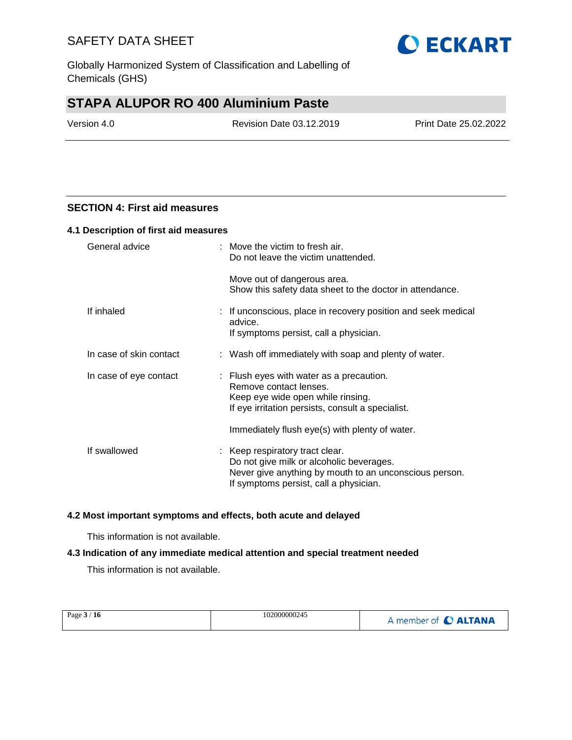Globally Harmonized System of Classification and Labelling of Chemicals (GHS)

# **STAPA ALUPOR RO 400 Aluminium Paste**

Version 4.0 Revision Date 03.12.2019 Print Date 25.02.2022

**O ECKART** 

#### **SECTION 4: First aid measures**

#### **4.1 Description of first aid measures**

| General advice          | $:$ Move the victim to fresh air.<br>Do not leave the victim unattended.                                                                                                        |
|-------------------------|---------------------------------------------------------------------------------------------------------------------------------------------------------------------------------|
|                         | Move out of dangerous area.<br>Show this safety data sheet to the doctor in attendance.                                                                                         |
| If inhaled              | : If unconscious, place in recovery position and seek medical<br>advice.<br>If symptoms persist, call a physician.                                                              |
| In case of skin contact | : Wash off immediately with soap and plenty of water.                                                                                                                           |
| In case of eye contact  | $\therefore$ Flush eyes with water as a precaution.<br>Remove contact lenses.<br>Keep eye wide open while rinsing.<br>If eye irritation persists, consult a specialist.         |
|                         | Immediately flush eye(s) with plenty of water.                                                                                                                                  |
| If swallowed            | : Keep respiratory tract clear.<br>Do not give milk or alcoholic beverages.<br>Never give anything by mouth to an unconscious person.<br>If symptoms persist, call a physician. |

#### **4.2 Most important symptoms and effects, both acute and delayed**

This information is not available.

#### **4.3 Indication of any immediate medical attention and special treatment needed**

This information is not available.

| 102000000245<br>Page $3/16$<br>A member of C ALTANA |
|-----------------------------------------------------|
|-----------------------------------------------------|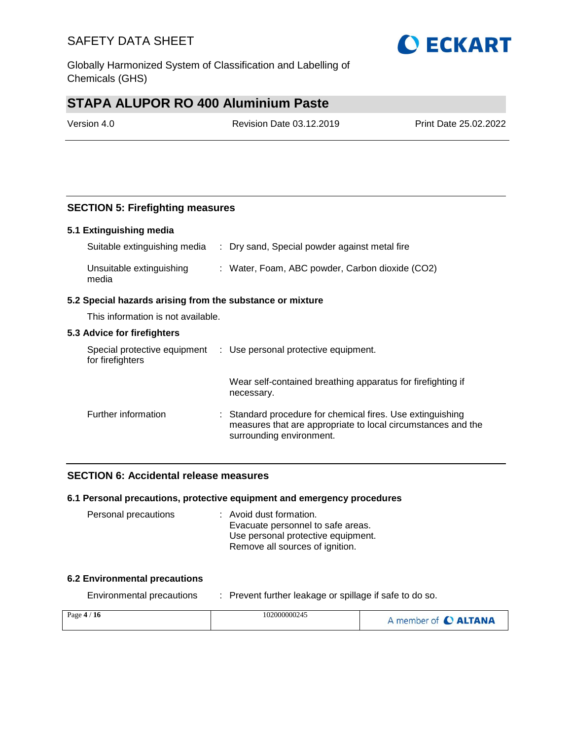Globally Harmonized System of Classification and Labelling of Chemicals (GHS)

# **STAPA ALUPOR RO 400 Aluminium Paste**

Version 4.0 Revision Date 03.12.2019 Print Date 25.02.2022

### **SECTION 5: Firefighting measures**

#### **5.1 Extinguishing media**

| Suitable extinguishing media      | : Dry sand, Special powder against metal fire   |
|-----------------------------------|-------------------------------------------------|
| Unsuitable extinguishing<br>media | : Water, Foam, ABC powder, Carbon dioxide (CO2) |

#### **5.2 Special hazards arising from the substance or mixture**

This information is not available.

#### **5.3 Advice for firefighters**

| Special protective equipment<br>for firefighters | : Use personal protective equipment.                                                                                                                   |
|--------------------------------------------------|--------------------------------------------------------------------------------------------------------------------------------------------------------|
|                                                  | Wear self-contained breathing apparatus for firefighting if<br>necessary.                                                                              |
| Further information                              | : Standard procedure for chemical fires. Use extinguishing<br>measures that are appropriate to local circumstances and the<br>surrounding environment. |

#### **SECTION 6: Accidental release measures**

#### **6.1 Personal precautions, protective equipment and emergency procedures**

| Personal precautions | : Avoid dust formation.            |
|----------------------|------------------------------------|
|                      | Evacuate personnel to safe areas.  |
|                      | Use personal protective equipment. |
|                      | Remove all sources of ignition.    |

#### **6.2 Environmental precautions**

Environmental precautions : Prevent further leakage or spillage if safe to do so.

| Page $4/16$ | 102000000245 | A member of C ALTANA |
|-------------|--------------|----------------------|
|             |              |                      |

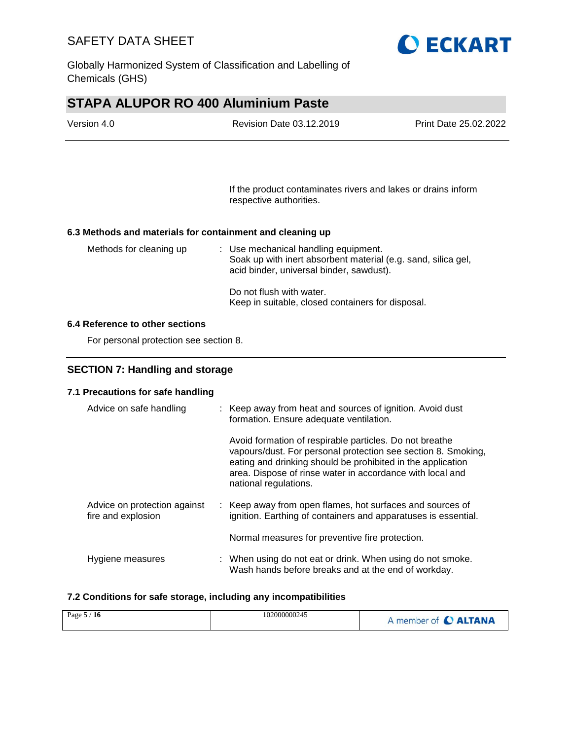

Globally Harmonized System of Classification and Labelling of Chemicals (GHS)

# **STAPA ALUPOR RO 400 Aluminium Paste**

| Version 4.0 | Revision Date 03.12.2019 | Print Date 25.02.2022 |
|-------------|--------------------------|-----------------------|
|             |                          |                       |

If the product contaminates rivers and lakes or drains inform respective authorities.

#### **6.3 Methods and materials for containment and cleaning up**

| Methods for cleaning up | : Use mechanical handling equipment.<br>Soak up with inert absorbent material (e.g. sand, silica gel,<br>acid binder, universal binder, sawdust). |
|-------------------------|---------------------------------------------------------------------------------------------------------------------------------------------------|
|                         | Do not flush with water.<br>Keep in suitable, closed containers for disposal.                                                                     |

#### **6.4 Reference to other sections**

For personal protection see section 8.

### **SECTION 7: Handling and storage**

#### **7.1 Precautions for safe handling**

| Advice on safe handling                            | : Keep away from heat and sources of ignition. Avoid dust<br>formation. Ensure adequate ventilation.                                                                                                                                                                          |
|----------------------------------------------------|-------------------------------------------------------------------------------------------------------------------------------------------------------------------------------------------------------------------------------------------------------------------------------|
|                                                    | Avoid formation of respirable particles. Do not breathe<br>vapours/dust. For personal protection see section 8. Smoking,<br>eating and drinking should be prohibited in the application<br>area. Dispose of rinse water in accordance with local and<br>national regulations. |
| Advice on protection against<br>fire and explosion | : Keep away from open flames, hot surfaces and sources of<br>ignition. Earthing of containers and apparatuses is essential.                                                                                                                                                   |
|                                                    | Normal measures for preventive fire protection.                                                                                                                                                                                                                               |
| Hygiene measures                                   | : When using do not eat or drink. When using do not smoke.<br>Wash hands before breaks and at the end of workday.                                                                                                                                                             |

#### **7.2 Conditions for safe storage, including any incompatibilities**

| Page $5/16$ | 102000000245 | A member of <b>C ALTANA</b> |
|-------------|--------------|-----------------------------|
|-------------|--------------|-----------------------------|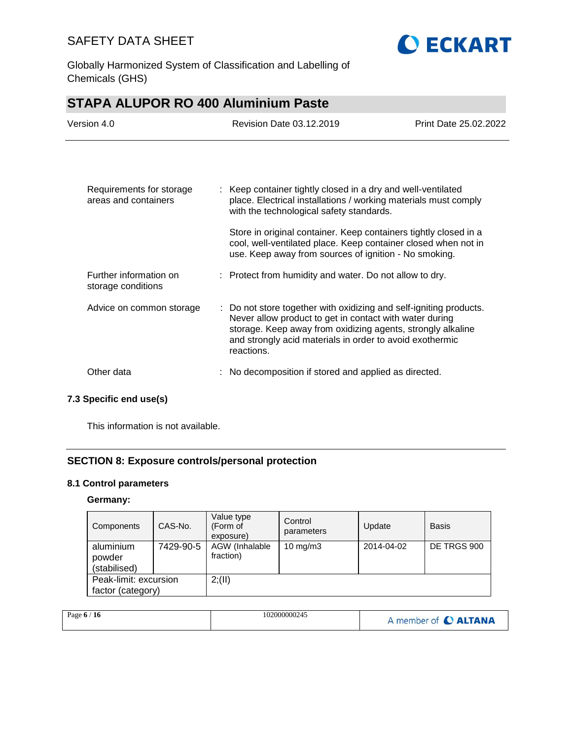

Globally Harmonized System of Classification and Labelling of Chemicals (GHS)

| <b>STAPA ALUPOR RO 400 Aluminium Paste</b>       |                                                                                                                                                                                                                                                                        |                       |  |
|--------------------------------------------------|------------------------------------------------------------------------------------------------------------------------------------------------------------------------------------------------------------------------------------------------------------------------|-----------------------|--|
| Version 4.0                                      | Revision Date 03.12.2019                                                                                                                                                                                                                                               | Print Date 25,02,2022 |  |
|                                                  |                                                                                                                                                                                                                                                                        |                       |  |
| Requirements for storage<br>areas and containers | : Keep container tightly closed in a dry and well-ventilated<br>place. Electrical installations / working materials must comply<br>with the technological safety standards.                                                                                            |                       |  |
|                                                  | Store in original container. Keep containers tightly closed in a<br>cool, well-ventilated place. Keep container closed when not in<br>use. Keep away from sources of ignition - No smoking.                                                                            |                       |  |
| Further information on<br>storage conditions     | : Protect from humidity and water. Do not allow to dry.                                                                                                                                                                                                                |                       |  |
| Advice on common storage                         | : Do not store together with oxidizing and self-igniting products.<br>Never allow product to get in contact with water during<br>storage. Keep away from oxidizing agents, strongly alkaline<br>and strongly acid materials in order to avoid exothermic<br>reactions. |                       |  |
| Other data                                       | No decomposition if stored and applied as directed.                                                                                                                                                                                                                    |                       |  |

### **7.3 Specific end use(s)**

This information is not available.

### **SECTION 8: Exposure controls/personal protection**

### **8.1 Control parameters**

### **Germany:**

| Components                                 | CAS-No.   | Value type<br>(Form of<br>exposure) | Control<br>parameters | Update     | <b>Basis</b> |
|--------------------------------------------|-----------|-------------------------------------|-----------------------|------------|--------------|
| aluminium<br>powder<br>(stabilised)        | 7429-90-5 | AGW (Inhalable<br>fraction)         | $10 \text{ mg/m}$     | 2014-04-02 | DE TRGS 900  |
| Peak-limit: excursion<br>factor (category) |           | 2; (II)                             |                       |            |              |

| Page $6/16$ | 102000000245 | A member of C ALTANA |
|-------------|--------------|----------------------|
|             |              |                      |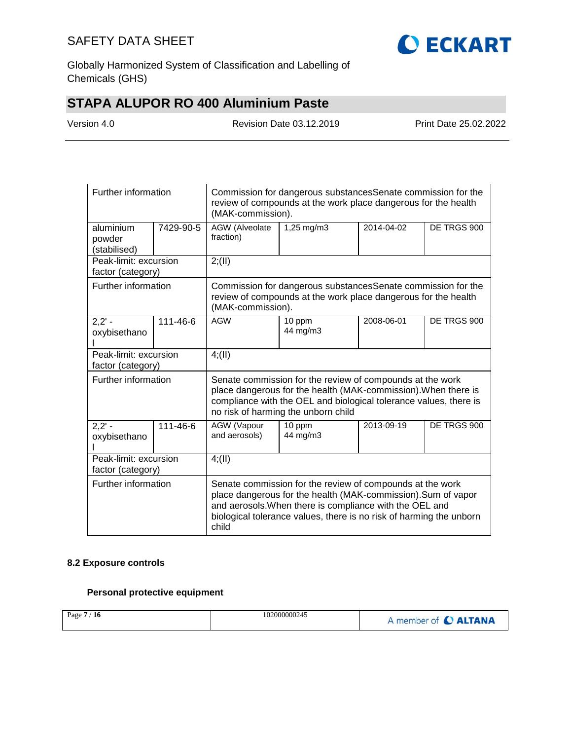

Globally Harmonized System of Classification and Labelling of Chemicals (GHS)

# **STAPA ALUPOR RO 400 Aluminium Paste**

| Version 4.0 |
|-------------|
|-------------|

Revision Date 03.12.2019 Print Date 25.02.2022

| Further information                        |           | Commission for dangerous substances Senate commission for the<br>review of compounds at the work place dangerous for the health<br>(MAK-commission).                                                                                                                  |                                                                                                                                 |            |             |  |
|--------------------------------------------|-----------|-----------------------------------------------------------------------------------------------------------------------------------------------------------------------------------------------------------------------------------------------------------------------|---------------------------------------------------------------------------------------------------------------------------------|------------|-------------|--|
| aluminium<br>powder<br>(stabilised)        | 7429-90-5 | AGW (Alveolate<br>fraction)                                                                                                                                                                                                                                           | 1,25 mg/m3<br>2014-04-02<br>DE TRGS 900                                                                                         |            |             |  |
| Peak-limit: excursion<br>factor (category) |           | 2; (II)                                                                                                                                                                                                                                                               |                                                                                                                                 |            |             |  |
| Further information                        |           | (MAK-commission).                                                                                                                                                                                                                                                     | Commission for dangerous substances Senate commission for the<br>review of compounds at the work place dangerous for the health |            |             |  |
| $2,2' -$<br>oxybisethano                   | 111-46-6  | <b>AGW</b>                                                                                                                                                                                                                                                            | 10 ppm<br>44 mg/m3                                                                                                              | 2008-06-01 | DE TRGS 900 |  |
| Peak-limit: excursion<br>factor (category) |           | 4(11)                                                                                                                                                                                                                                                                 |                                                                                                                                 |            |             |  |
| Further information                        |           | Senate commission for the review of compounds at the work<br>place dangerous for the health (MAK-commission). When there is<br>compliance with the OEL and biological tolerance values, there is<br>no risk of harming the unborn child                               |                                                                                                                                 |            |             |  |
| $\overline{2,2'}$ -<br>oxybisethano        | 111-46-6  | AGW (Vapour<br>and aerosols)                                                                                                                                                                                                                                          | 10 ppm<br>44 mg/m3                                                                                                              | 2013-09-19 | DE TRGS 900 |  |
| Peak-limit: excursion<br>factor (category) |           | 4(11)                                                                                                                                                                                                                                                                 |                                                                                                                                 |            |             |  |
| Further information                        |           | Senate commission for the review of compounds at the work<br>place dangerous for the health (MAK-commission). Sum of vapor<br>and aerosols. When there is compliance with the OEL and<br>biological tolerance values, there is no risk of harming the unborn<br>child |                                                                                                                                 |            |             |  |

#### **8.2 Exposure controls**

### **Personal protective equipment**

| Page 7 / 16 | 102000000245 | A member of C ALTANA |
|-------------|--------------|----------------------|
|-------------|--------------|----------------------|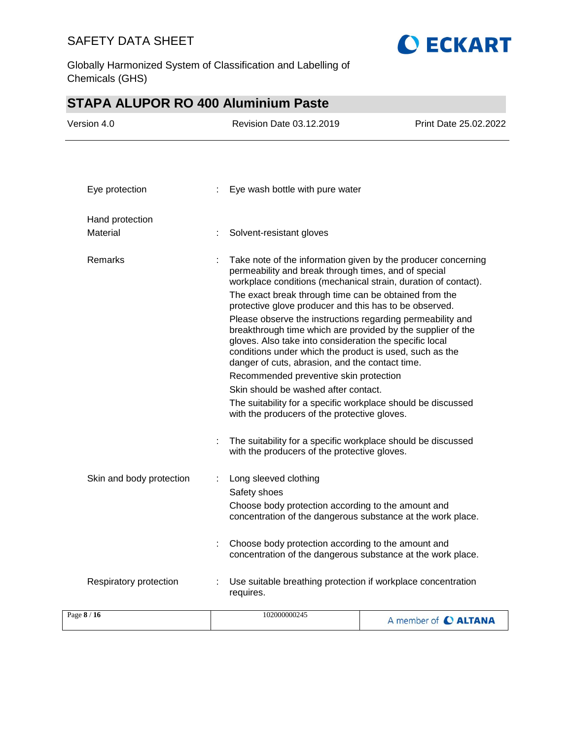

Globally Harmonized System of Classification and Labelling of Chemicals (GHS)

# **STAPA ALUPOR RO 400 Aluminium Paste**

| Version 4.0              |   | Revision Date 03.12.2019                                                                                                                                                                                                                                                                                                                                                                                                                                                                                                                                                                                                                                                                                                                                                                                           | Print Date 25.02.2022 |
|--------------------------|---|--------------------------------------------------------------------------------------------------------------------------------------------------------------------------------------------------------------------------------------------------------------------------------------------------------------------------------------------------------------------------------------------------------------------------------------------------------------------------------------------------------------------------------------------------------------------------------------------------------------------------------------------------------------------------------------------------------------------------------------------------------------------------------------------------------------------|-----------------------|
| Eye protection           | ÷ | Eye wash bottle with pure water                                                                                                                                                                                                                                                                                                                                                                                                                                                                                                                                                                                                                                                                                                                                                                                    |                       |
|                          |   |                                                                                                                                                                                                                                                                                                                                                                                                                                                                                                                                                                                                                                                                                                                                                                                                                    |                       |
| Hand protection          |   |                                                                                                                                                                                                                                                                                                                                                                                                                                                                                                                                                                                                                                                                                                                                                                                                                    |                       |
| Material                 |   | Solvent-resistant gloves                                                                                                                                                                                                                                                                                                                                                                                                                                                                                                                                                                                                                                                                                                                                                                                           |                       |
| Remarks                  |   | Take note of the information given by the producer concerning<br>permeability and break through times, and of special<br>workplace conditions (mechanical strain, duration of contact).<br>The exact break through time can be obtained from the<br>protective glove producer and this has to be observed.<br>Please observe the instructions regarding permeability and<br>breakthrough time which are provided by the supplier of the<br>gloves. Also take into consideration the specific local<br>conditions under which the product is used, such as the<br>danger of cuts, abrasion, and the contact time.<br>Recommended preventive skin protection<br>Skin should be washed after contact.<br>The suitability for a specific workplace should be discussed<br>with the producers of the protective gloves. |                       |
|                          |   | The suitability for a specific workplace should be discussed<br>with the producers of the protective gloves.                                                                                                                                                                                                                                                                                                                                                                                                                                                                                                                                                                                                                                                                                                       |                       |
| Skin and body protection |   | Long sleeved clothing<br>Safety shoes<br>Choose body protection according to the amount and<br>concentration of the dangerous substance at the work place.                                                                                                                                                                                                                                                                                                                                                                                                                                                                                                                                                                                                                                                         |                       |
|                          |   | Choose body protection according to the amount and<br>concentration of the dangerous substance at the work place.                                                                                                                                                                                                                                                                                                                                                                                                                                                                                                                                                                                                                                                                                                  |                       |
| Respiratory protection   |   | Use suitable breathing protection if workplace concentration<br>requires.                                                                                                                                                                                                                                                                                                                                                                                                                                                                                                                                                                                                                                                                                                                                          |                       |
| Page 8 / 16              |   | 102000000245                                                                                                                                                                                                                                                                                                                                                                                                                                                                                                                                                                                                                                                                                                                                                                                                       | A member of C ALTANA  |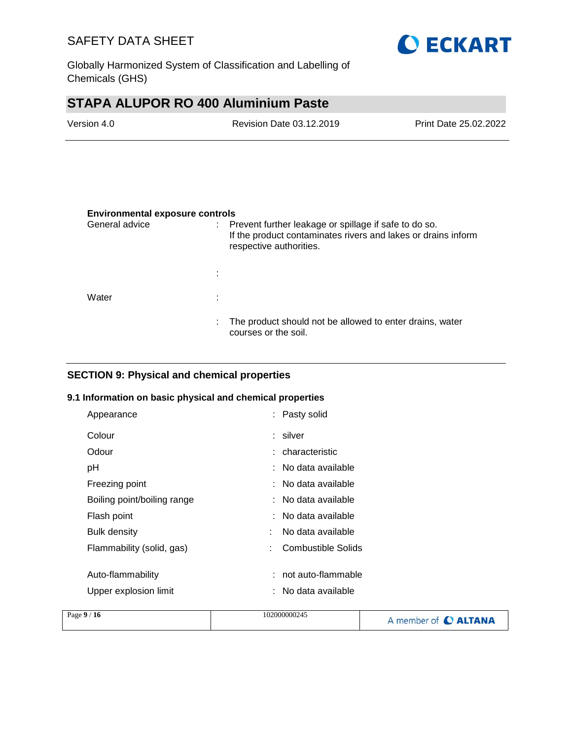

Globally Harmonized System of Classification and Labelling of Chemicals (GHS)

# **STAPA ALUPOR RO 400 Aluminium Paste**

| Version 4.0 | Revision Date 03.12.2019 | Print Date 25.02.2022 |
|-------------|--------------------------|-----------------------|
|             |                          |                       |

#### **Environmental exposure controls**

| General advice |    | Prevent further leakage or spillage if safe to do so.<br>If the product contaminates rivers and lakes or drains inform<br>respective authorities. |
|----------------|----|---------------------------------------------------------------------------------------------------------------------------------------------------|
|                |    |                                                                                                                                                   |
| Water          | ÷  |                                                                                                                                                   |
|                | ÷. | The product should not be allowed to enter drains, water<br>courses or the soil.                                                                  |

### **SECTION 9: Physical and chemical properties**

#### **9.1 Information on basic physical and chemical properties**

| Appearance                  | : Pasty solid           |  |
|-----------------------------|-------------------------|--|
| Colour                      | : silver                |  |
| Odour                       | : characteristic        |  |
| рH                          | : No data available     |  |
| Freezing point              | : No data available     |  |
| Boiling point/boiling range | : No data available     |  |
| Flash point                 | : No data available     |  |
| <b>Bulk density</b>         | No data available<br>t  |  |
| Flammability (solid, gas)   | Combustible Solids<br>÷ |  |
|                             |                         |  |
| Auto-flammability           | not auto-flammable      |  |
| Upper explosion limit       | : No data available     |  |
|                             |                         |  |

| Page $9/16$<br>102000000245 | A member of C ALTANA |
|-----------------------------|----------------------|
|-----------------------------|----------------------|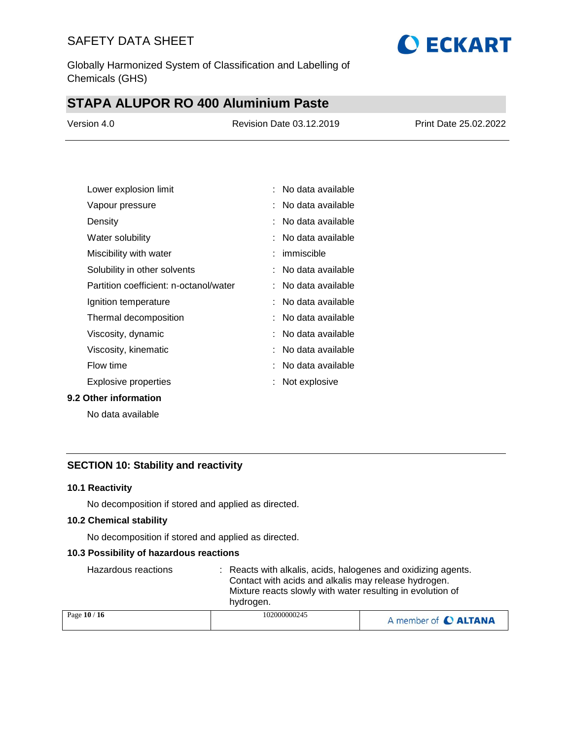

Globally Harmonized System of Classification and Labelling of Chemicals (GHS)

# **STAPA ALUPOR RO 400 Aluminium Paste**

| Version 4.0 | Revision Date 03.12.2019 | Print Date 25.02.2022 |
|-------------|--------------------------|-----------------------|
|             |                          |                       |

| Lower explosion limit                  | No data available     |
|----------------------------------------|-----------------------|
| Vapour pressure                        | No data available     |
| Density                                | :   No data available |
| Water solubility                       | No data available     |
| Miscibility with water                 | : immiscible          |
| Solubility in other solvents           | : No data available   |
| Partition coefficient: n-octanol/water | No data available     |
| Ignition temperature                   | No data available     |
| Thermal decomposition                  | :   No data available |
| Viscosity, dynamic                     | : No data available   |
| Viscosity, kinematic                   | No data available     |
| Flow time                              | : No data available   |
| Explosive properties                   | Not explosive         |

#### **9.2 Other information**

No data available

### **SECTION 10: Stability and reactivity**

#### **10.1 Reactivity**

No decomposition if stored and applied as directed.

#### **10.2 Chemical stability**

No decomposition if stored and applied as directed.

#### **10.3 Possibility of hazardous reactions**

| Hazardous reactions | : Reacts with alkalis, acids, halogenes and oxidizing agents.<br>Contact with acids and alkalis may release hydrogen.<br>Mixture reacts slowly with water resulting in evolution of<br>hydrogen. |                      |
|---------------------|--------------------------------------------------------------------------------------------------------------------------------------------------------------------------------------------------|----------------------|
| Page 10 / 16        | 102000000245                                                                                                                                                                                     | A member of C ALTANA |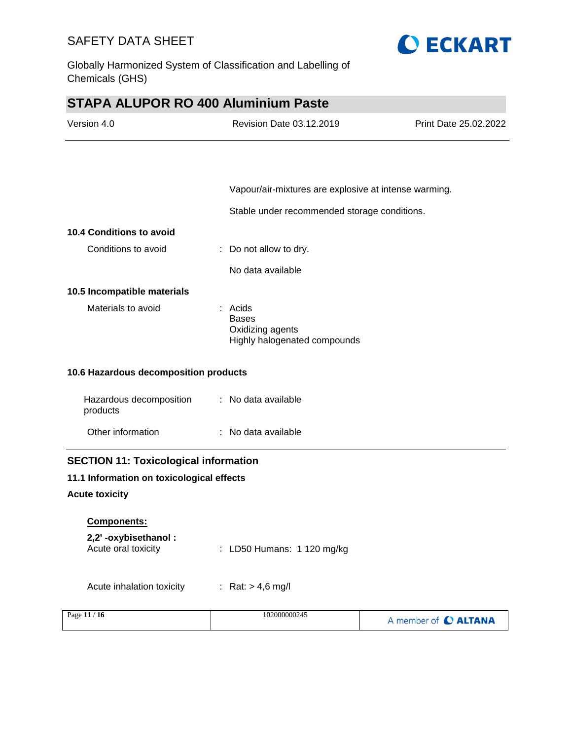

Globally Harmonized System of Classification and Labelling of Chemicals (GHS)

# **STAPA ALUPOR RO 400 Aluminium Paste**

| Version 4.0                                  | <b>Revision Date 03.12.2019</b>                                               | Print Date 25.02.2022 |
|----------------------------------------------|-------------------------------------------------------------------------------|-----------------------|
|                                              |                                                                               |                       |
|                                              | Vapour/air-mixtures are explosive at intense warming.                         |                       |
|                                              | Stable under recommended storage conditions.                                  |                       |
| 10.4 Conditions to avoid                     |                                                                               |                       |
| Conditions to avoid                          | Do not allow to dry.                                                          |                       |
|                                              | No data available                                                             |                       |
| 10.5 Incompatible materials                  |                                                                               |                       |
| Materials to avoid                           | $:$ Acids<br><b>Bases</b><br>Oxidizing agents<br>Highly halogenated compounds |                       |
| 10.6 Hazardous decomposition products        |                                                                               |                       |
| Hazardous decomposition<br>products          | : No data available                                                           |                       |
| Other information                            | : No data available                                                           |                       |
| <b>SECTION 11: Toxicological information</b> |                                                                               |                       |
| 11.1 Information on toxicological effects    |                                                                               |                       |
| <b>Acute toxicity</b>                        |                                                                               |                       |
| <b>Components:</b>                           |                                                                               |                       |
| 2,2'-oxybisethanol:<br>Acute oral toxicity   | LD50 Humans: 1 120 mg/kg                                                      |                       |
| Acute inhalation toxicity                    | : Rat: $> 4.6$ mg/l                                                           |                       |
| Page 11 / 16                                 | 102000000245                                                                  | A member of C ALTANA  |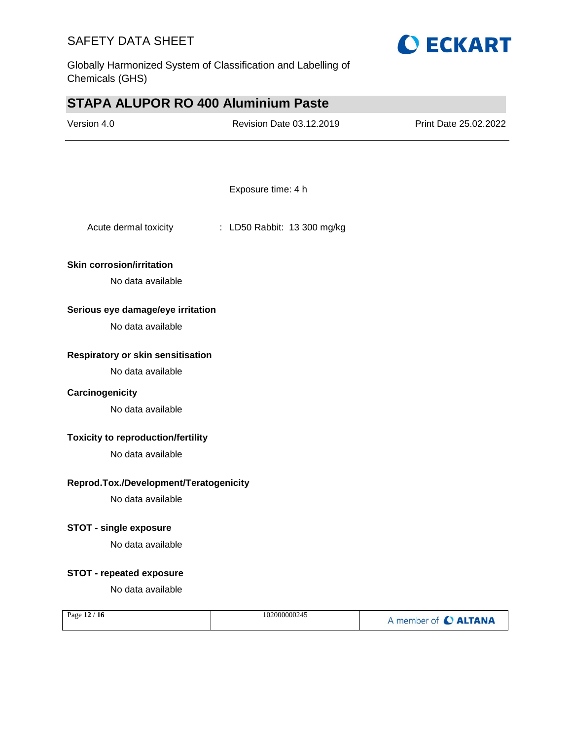

Globally Harmonized System of Classification and Labelling of Chemicals (GHS)

# **STAPA ALUPOR RO 400 Aluminium Paste**

| Version 4.0                               | Revision Date 03.12.2019    | Print Date 25.02.2022 |
|-------------------------------------------|-----------------------------|-----------------------|
|                                           |                             |                       |
|                                           | Exposure time: 4 h          |                       |
| Acute dermal toxicity                     | : LD50 Rabbit: 13 300 mg/kg |                       |
| <b>Skin corrosion/irritation</b>          |                             |                       |
| No data available                         |                             |                       |
| Serious eye damage/eye irritation         |                             |                       |
| No data available                         |                             |                       |
| Respiratory or skin sensitisation         |                             |                       |
| No data available                         |                             |                       |
| Carcinogenicity                           |                             |                       |
| No data available                         |                             |                       |
| <b>Toxicity to reproduction/fertility</b> |                             |                       |
| No data available                         |                             |                       |
| Reprod.Tox./Development/Teratogenicity    |                             |                       |
| No data available                         |                             |                       |
| <b>STOT - single exposure</b>             |                             |                       |
| No data available                         |                             |                       |
| <b>STOT - repeated exposure</b>           |                             |                       |
| No data available                         |                             |                       |
| Page 12 / 16                              | 102000000245                | A member of C ALTANA  |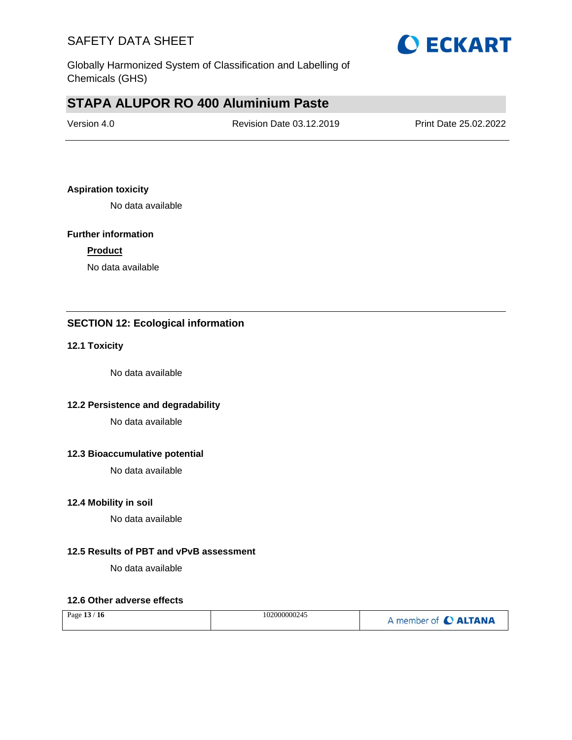

Globally Harmonized System of Classification and Labelling of Chemicals (GHS)

# **STAPA ALUPOR RO 400 Aluminium Paste**

| Version 4.0 | Revision Date 03.12.2019 | Print Date 25.02.2022 |
|-------------|--------------------------|-----------------------|
|             |                          |                       |

#### **Aspiration toxicity**

No data available

#### **Further information**

#### **Product**

No data available

### **SECTION 12: Ecological information**

#### **12.1 Toxicity**

No data available

### **12.2 Persistence and degradability**

No data available

#### **12.3 Bioaccumulative potential**

No data available

#### **12.4 Mobility in soil**

No data available

#### **12.5 Results of PBT and vPvB assessment**

No data available

#### **12.6 Other adverse effects**

| Page 13 / 16 | 102000000245 | A member of C ALTANA |
|--------------|--------------|----------------------|
|--------------|--------------|----------------------|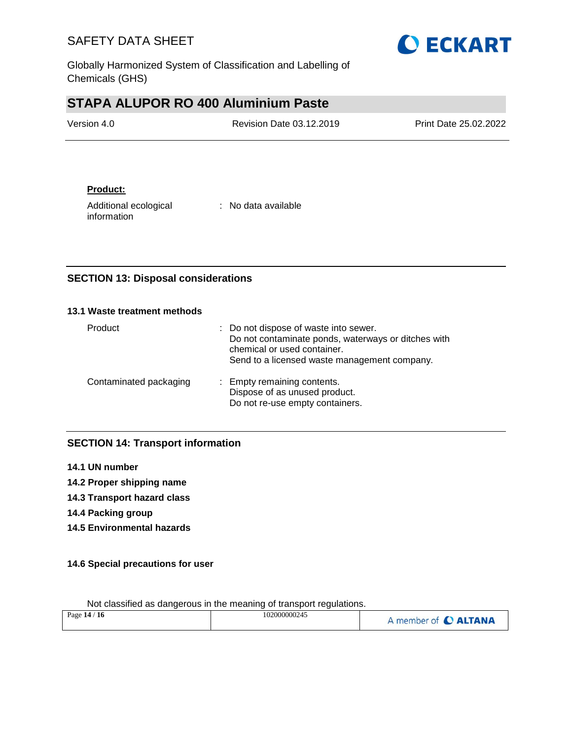

Globally Harmonized System of Classification and Labelling of Chemicals (GHS)

# **STAPA ALUPOR RO 400 Aluminium Paste**

| Version 4.0 | <b>Revision Date 03.12.2019</b> | <b>Print Date 25.02.2022</b> |
|-------------|---------------------------------|------------------------------|
|             |                                 |                              |

### **Product:**

Additional ecological information

: No data available

### **SECTION 13: Disposal considerations**

#### **13.1 Waste treatment methods**

| Product                | : Do not dispose of waste into sewer.<br>Do not contaminate ponds, waterways or ditches with<br>chemical or used container.<br>Send to a licensed waste management company. |
|------------------------|-----------------------------------------------------------------------------------------------------------------------------------------------------------------------------|
| Contaminated packaging | : Empty remaining contents.<br>Dispose of as unused product.<br>Do not re-use empty containers.                                                                             |

### **SECTION 14: Transport information**

- **14.1 UN number**
- **14.2 Proper shipping name**
- **14.3 Transport hazard class**
- **14.4 Packing group**
- **14.5 Environmental hazards**

### **14.6 Special precautions for user**

| Page 14 / 16 | 102000000245 | A member of C ALTANA |
|--------------|--------------|----------------------|
|              |              |                      |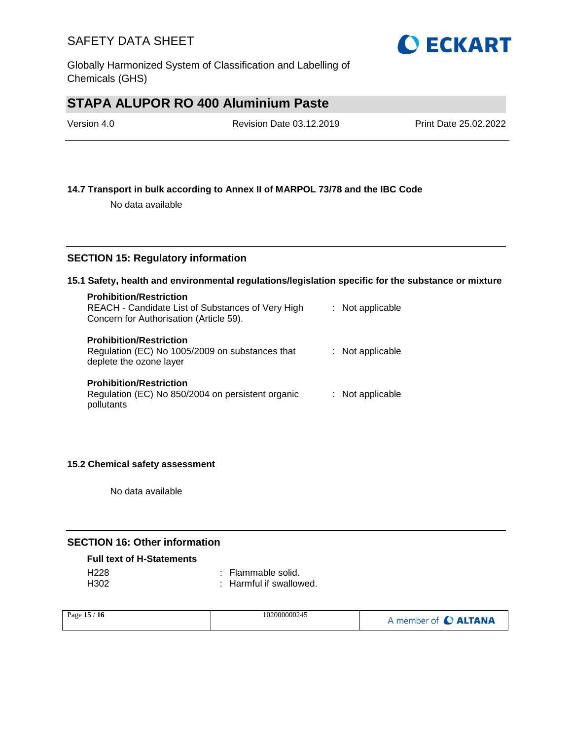

# **STAPA ALUPOR RO 400 Aluminium Paste**

| Version 4.0 | Revision Date 03.12.2019 | Print Date 25.02.2022 |
|-------------|--------------------------|-----------------------|
|             |                          |                       |

#### **14.7 Transport in bulk according to Annex II of MARPOL 73/78 and the IBC Code**

No data available

#### **SECTION 15: Regulatory information**

#### **15.1 Safety, health and environmental regulations/legislation specific for the substance or mixture**

| <b>Prohibition/Restriction</b><br>REACH - Candidate List of Substances of Very High<br>Concern for Authorisation (Article 59). | : Not applicable |
|--------------------------------------------------------------------------------------------------------------------------------|------------------|
| <b>Prohibition/Restriction</b><br>Regulation (EC) No 1005/2009 on substances that<br>deplete the ozone layer                   | : Not applicable |
| <b>Prohibition/Restriction</b><br>Regulation (EC) No 850/2004 on persistent organic<br>pollutants                              | : Not applicable |

#### **15.2 Chemical safety assessment**

No data available

### **SECTION 16: Other information**

#### **Full text of H-Statements**

| H228             | : Flammable solid.      |
|------------------|-------------------------|
| H <sub>302</sub> | : Harmful if swallowed. |

| Page 15 / 16 | 102000000245 | A member of C ALTANA |
|--------------|--------------|----------------------|
|--------------|--------------|----------------------|